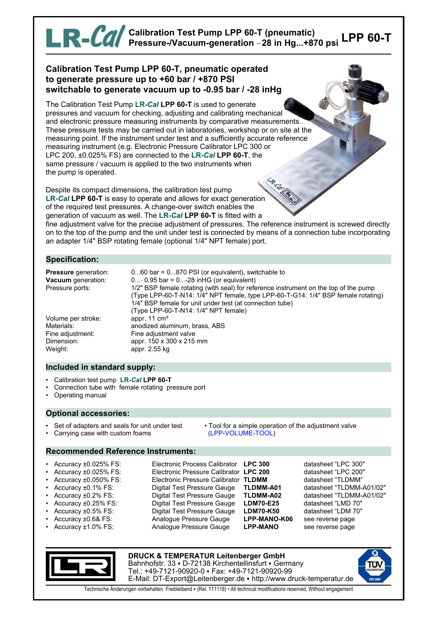# **LPP 60-T Calibration Test Pump LPP 60-T (pneumatic) Pressure-/Vacuum-generation** !**28 in Hg...+870 psi**

## **Calibration Test Pump LPP 60-T, pneumatic operated to generate pressure up to +60 bar / +870 PSI switchable to generate vacuum up to -0.95 bar / -28 inHg**

The Calibration Test Pump **LR-***Cal* **LPP 60-T** is used to generate pressures and vacuum for checking, adjusting and calibrating mechanical and electronic pressure measuring instruments by comparative measurements. These pressure tests may be carried out in laboratories, workshop or on site at the measuring point. If the instrument under test and a sufficiently accurate reference measuring instrument (e.g. Electronic Pressure Calibrator LPC 300 or LPC 200, ±0.025% FS) are connected to the **LR-***Cal* **LPP 60-T**, the same pressure / vacuum is applied to the two instruments when the pump is operated.

Despite its compact dimensions, the calibration test pump **LR-***Cal* **LPP 60-T** is easy to operate and allows for exact generation of the required test pressures. A change-over switch enables the generation of vacuum as well. The **LR-***Cal* **LPP 60-T** is fitted with a

fine adjustment valve for the precise adjustment of pressures. The reference instrument is screwed directly on to the top of the pump and the unit under test is connected by means of a connection tube incorporating an adapter 1/4" BSP rotating female (optional 1/4" NPT female) port.

## **Specification:**

| <b>Pressure</b> generation:<br>Vacuum generation:<br>Pressure ports: | $060$ bar = $0870$ PSI (or equivalent), switchable to<br>$0 - 0.95$ bar = $0 - 28$ in HG (or equivalent)<br>1/2" BSP female rotating (with seal) for reference instrument on the top of the pump<br>(Type LPP-60-T-N14: 1/4" NPT female, type LPP-60-T-G14: 1/4" BSP female rotating)<br>1/4" BSP female for unit under test (at connection tube)<br>(Type LPP-60-T-N14: 1/4" NPT female) |
|----------------------------------------------------------------------|-------------------------------------------------------------------------------------------------------------------------------------------------------------------------------------------------------------------------------------------------------------------------------------------------------------------------------------------------------------------------------------------|
| Volume per stroke:                                                   | appr. $11 \text{ cm}^3$                                                                                                                                                                                                                                                                                                                                                                   |
| Materials:                                                           | anodized aluminum, brass, ABS                                                                                                                                                                                                                                                                                                                                                             |
| Fine adjustment:                                                     | Fine adjustment valve                                                                                                                                                                                                                                                                                                                                                                     |
| Dimension:                                                           | appr. 150 x 300 x 215 mm                                                                                                                                                                                                                                                                                                                                                                  |
| Weight:                                                              | appr. 2.55 kg                                                                                                                                                                                                                                                                                                                                                                             |

#### **Included in standard supply:**

- Calibration test pump **LR-***Cal* **LPP 60-T**
- Connection tube with female rotating pressure port
- Operating manual

#### **Optional accessories:**

- 
- Carrying case with custom foams (LPP-VOLUME-TOOL)
- Set of adapters and seals for unit under test Tool for a simple operation of the adjustment valve

# **Recommended Reference Instruments:**

- 
- 
- 
- 
- 
- 
- 
- 
- 
- Accuracy ±0.025% FS: Electronic Process Calibrator **LPC 300** datasheet "LPC 300" • Accuracy ±0.025% FS: Electronic Pressure Calibrator **LPC 200** datasheet "LPC 200" • Accuracy ±0.050% FS: Electronic Pressure Calibrator **TLDMM** datasheet "TLDMM" • Accuracy ±0.1% FS: Digital Test Pressure Gauge **TLDMM-A01** datasheet "TLDMM-A01/02" • Accuracy ±0.2% FS: Digital Test Pressure Gauge **TLDMM-A02** datasheet "TLDMM-A01/02" • Accuracy ±0.25% FS: Digital Test Pressure Gauge **LDM70-E25** datasheet "LMD 70" • Accuracy ±0.5% FS: Digital Test Pressure Gauge **LDM70-K50** datasheet "LDM 70"
	- Accuracy ±1.0% FS: Analogue Pressure Gauge **LPP-MANO** see reverse page
- - Accuracy ±0.6& FS: Analogue Pressure Gauge **LPP-MANO-K06** see reverse page



**DRUCK & TEMPERATUR Leitenberger GmbH** Bahnhofstr. 33 · D-72138 Kirchentellinsfurt · Germany Tel.: +49-7121-90920-0 • Fax: +49-7121-90920-99 E-Mail: DT-Export@Leitenberger.de • http://www.druck-temperatur.de



Technische Änderungen vorbehalten. Freibleibend • (Rel. 111118) • All technical modifications reserved. Without engagement